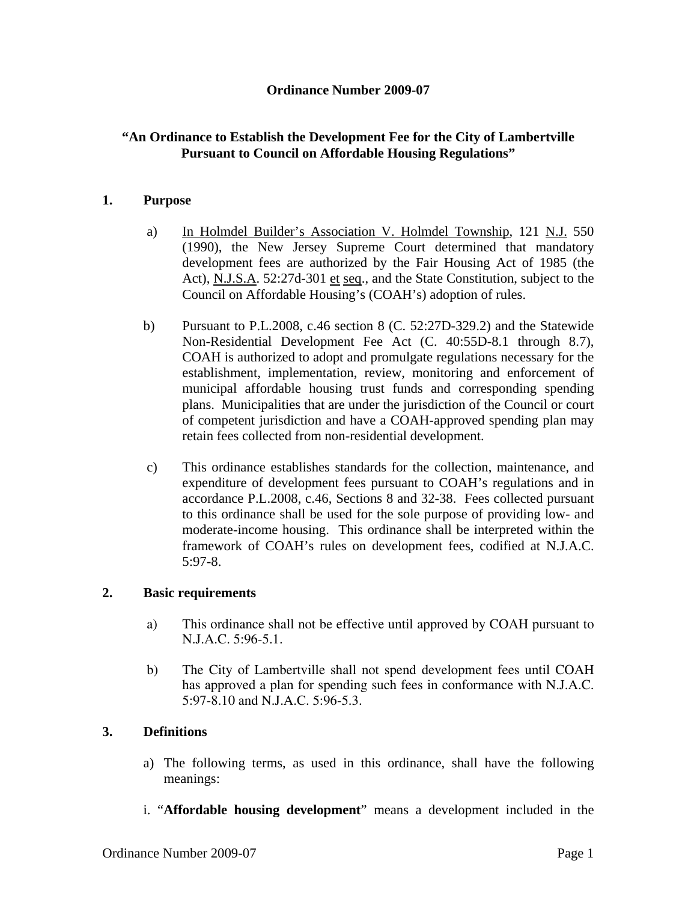#### **Ordinance Number 2009-07**

## **"An Ordinance to Establish the Development Fee for the City of Lambertville Pursuant to Council on Affordable Housing Regulations"**

#### **1. Purpose**

- a) In Holmdel Builder's Association V. Holmdel Township, 121 N.J. 550 (1990), the New Jersey Supreme Court determined that mandatory development fees are authorized by the Fair Housing Act of 1985 (the Act), N.J.S.A. 52:27d-301 et seq., and the State Constitution, subject to the Council on Affordable Housing's (COAH's) adoption of rules.
- b) Pursuant to P.L.2008, c.46 section 8 (C. 52:27D-329.2) and the Statewide Non-Residential Development Fee Act (C. 40:55D-8.1 through 8.7), COAH is authorized to adopt and promulgate regulations necessary for the establishment, implementation, review, monitoring and enforcement of municipal affordable housing trust funds and corresponding spending plans. Municipalities that are under the jurisdiction of the Council or court of competent jurisdiction and have a COAH-approved spending plan may retain fees collected from non-residential development.
- c) This ordinance establishes standards for the collection, maintenance, and expenditure of development fees pursuant to COAH's regulations and in accordance P.L.2008, c.46, Sections 8 and 32-38. Fees collected pursuant to this ordinance shall be used for the sole purpose of providing low- and moderate-income housing. This ordinance shall be interpreted within the framework of COAH's rules on development fees, codified at N.J.A.C. 5:97-8.

#### **2. Basic requirements**

- a) This ordinance shall not be effective until approved by COAH pursuant to N.J.A.C. 5:96-5.1.
- b) The City of Lambertville shall not spend development fees until COAH has approved a plan for spending such fees in conformance with N.J.A.C. 5:97-8.10 and N.J.A.C. 5:96-5.3.

## **3. Definitions**

- a) The following terms, as used in this ordinance, shall have the following meanings:
- i. "**Affordable housing development**" means a development included in the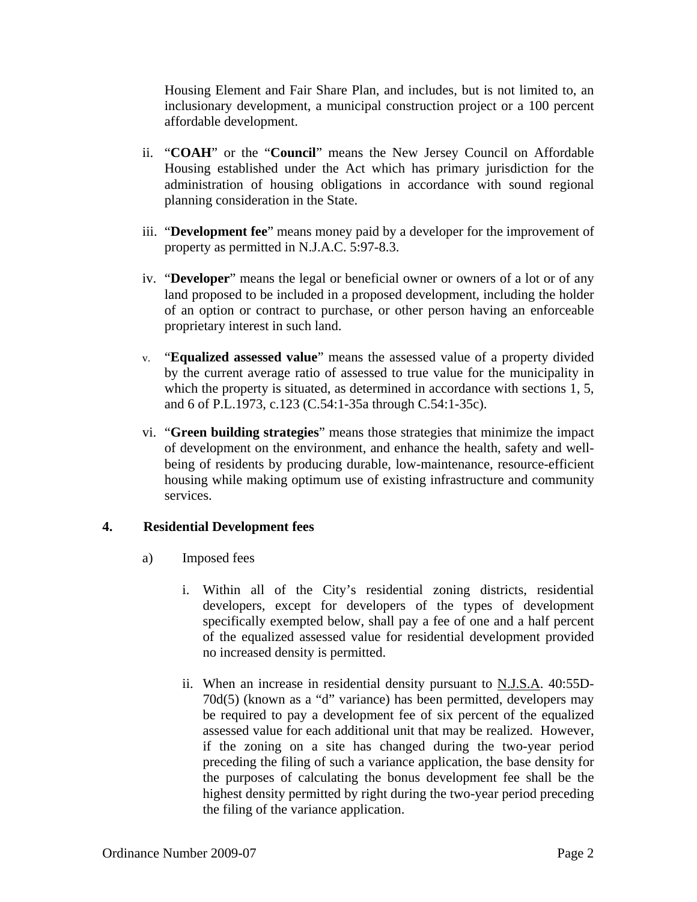Housing Element and Fair Share Plan, and includes, but is not limited to, an inclusionary development, a municipal construction project or a 100 percent affordable development.

- ii. "**COAH**" or the "**Council**" means the New Jersey Council on Affordable Housing established under the Act which has primary jurisdiction for the administration of housing obligations in accordance with sound regional planning consideration in the State.
- iii. "**Development fee**" means money paid by a developer for the improvement of property as permitted in N.J.A.C. 5:97-8.3.
- iv. "**Developer**" means the legal or beneficial owner or owners of a lot or of any land proposed to be included in a proposed development, including the holder of an option or contract to purchase, or other person having an enforceable proprietary interest in such land.
- v. "**Equalized assessed value**" means the assessed value of a property divided by the current average ratio of assessed to true value for the municipality in which the property is situated, as determined in accordance with sections 1, 5, and 6 of P.L.1973, c.123 (C.54:1-35a through C.54:1-35c).
- vi. "**Green building strategies**" means those strategies that minimize the impact of development on the environment, and enhance the health, safety and wellbeing of residents by producing durable, low-maintenance, resource-efficient housing while making optimum use of existing infrastructure and community services.

## **4. Residential Development fees**

- a) Imposed fees
	- i. Within all of the City's residential zoning districts, residential developers, except for developers of the types of development specifically exempted below, shall pay a fee of one and a half percent of the equalized assessed value for residential development provided no increased density is permitted.
	- ii. When an increase in residential density pursuant to N.J.S.A. 40:55D-70d(5) (known as a "d" variance) has been permitted, developers may be required to pay a development fee of six percent of the equalized assessed value for each additional unit that may be realized. However, if the zoning on a site has changed during the two-year period preceding the filing of such a variance application, the base density for the purposes of calculating the bonus development fee shall be the highest density permitted by right during the two-year period preceding the filing of the variance application.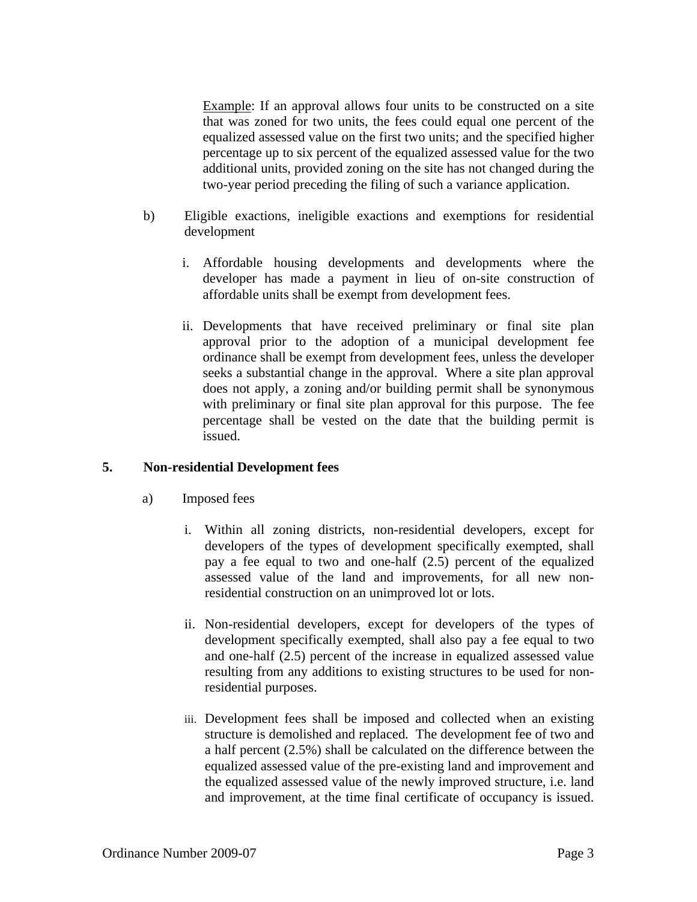Example: If an approval allows four units to be constructed on a site that was zoned for two units, the fees could equal one percent of the equalized assessed value on the first two units; and the specified higher percentage up to six percent of the equalized assessed value for the two additional units, provided zoning on the site has not changed during the two-year period preceding the filing of such a variance application.

- b) Eligible exactions, ineligible exactions and exemptions for residential development
	- i. Affordable housing developments and developments where the developer has made a payment in lieu of on-site construction of affordable units shall be exempt from development fees.
	- ii. Developments that have received preliminary or final site plan approval prior to the adoption of a municipal development fee ordinance shall be exempt from development fees, unless the developer seeks a substantial change in the approval. Where a site plan approval does not apply, a zoning and/or building permit shall be synonymous with preliminary or final site plan approval for this purpose. The fee percentage shall be vested on the date that the building permit is issued.

## **5. Non-residential Development fees**

- a) Imposed fees
	- i. Within all zoning districts, non-residential developers, except for developers of the types of development specifically exempted, shall pay a fee equal to two and one-half (2.5) percent of the equalized assessed value of the land and improvements, for all new nonresidential construction on an unimproved lot or lots.
	- ii. Non-residential developers, except for developers of the types of development specifically exempted, shall also pay a fee equal to two and one-half (2.5) percent of the increase in equalized assessed value resulting from any additions to existing structures to be used for nonresidential purposes.
	- iii. Development fees shall be imposed and collected when an existing structure is demolished and replaced. The development fee of two and a half percent (2.5%) shall be calculated on the difference between the equalized assessed value of the pre-existing land and improvement and the equalized assessed value of the newly improved structure, i.e. land and improvement, at the time final certificate of occupancy is issued.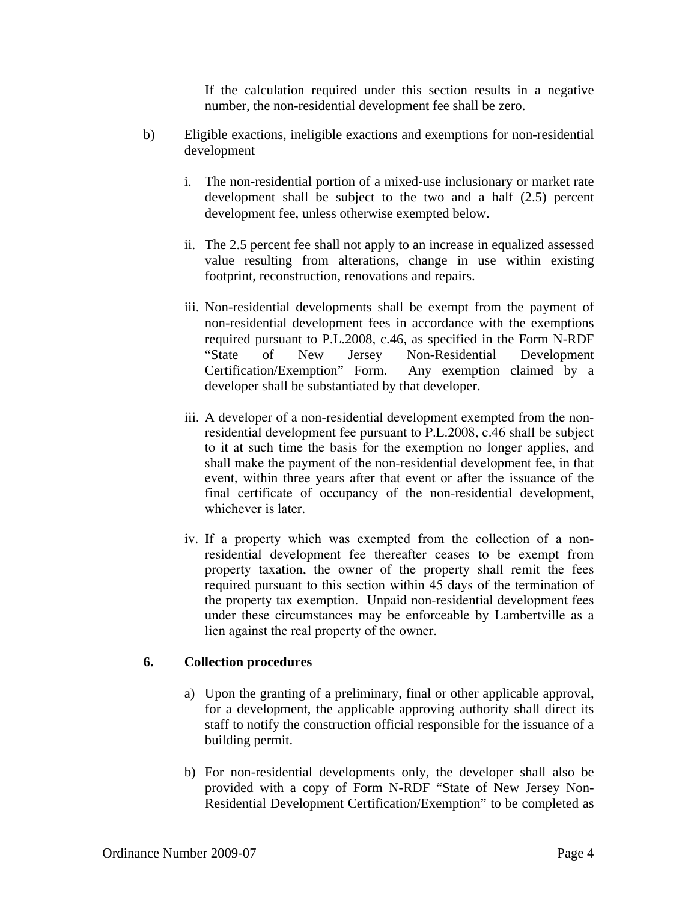If the calculation required under this section results in a negative number, the non-residential development fee shall be zero.

- b) Eligible exactions, ineligible exactions and exemptions for non-residential development
	- i. The non-residential portion of a mixed-use inclusionary or market rate development shall be subject to the two and a half (2.5) percent development fee, unless otherwise exempted below.
	- ii. The 2.5 percent fee shall not apply to an increase in equalized assessed value resulting from alterations, change in use within existing footprint, reconstruction, renovations and repairs.
	- iii. Non-residential developments shall be exempt from the payment of non-residential development fees in accordance with the exemptions required pursuant to P.L.2008, c.46, as specified in the Form N-RDF "State of New Jersey Non-Residential Development Certification/Exemption" Form. Any exemption claimed by a developer shall be substantiated by that developer.
	- iii. A developer of a non-residential development exempted from the nonresidential development fee pursuant to P.L.2008, c.46 shall be subject to it at such time the basis for the exemption no longer applies, and shall make the payment of the non-residential development fee, in that event, within three years after that event or after the issuance of the final certificate of occupancy of the non-residential development, whichever is later.
	- iv. If a property which was exempted from the collection of a nonresidential development fee thereafter ceases to be exempt from property taxation, the owner of the property shall remit the fees required pursuant to this section within 45 days of the termination of the property tax exemption. Unpaid non-residential development fees under these circumstances may be enforceable by Lambertville as a lien against the real property of the owner.

## **6. Collection procedures**

- a) Upon the granting of a preliminary, final or other applicable approval, for a development, the applicable approving authority shall direct its staff to notify the construction official responsible for the issuance of a building permit.
- b) For non-residential developments only, the developer shall also be provided with a copy of Form N-RDF "State of New Jersey Non-Residential Development Certification/Exemption" to be completed as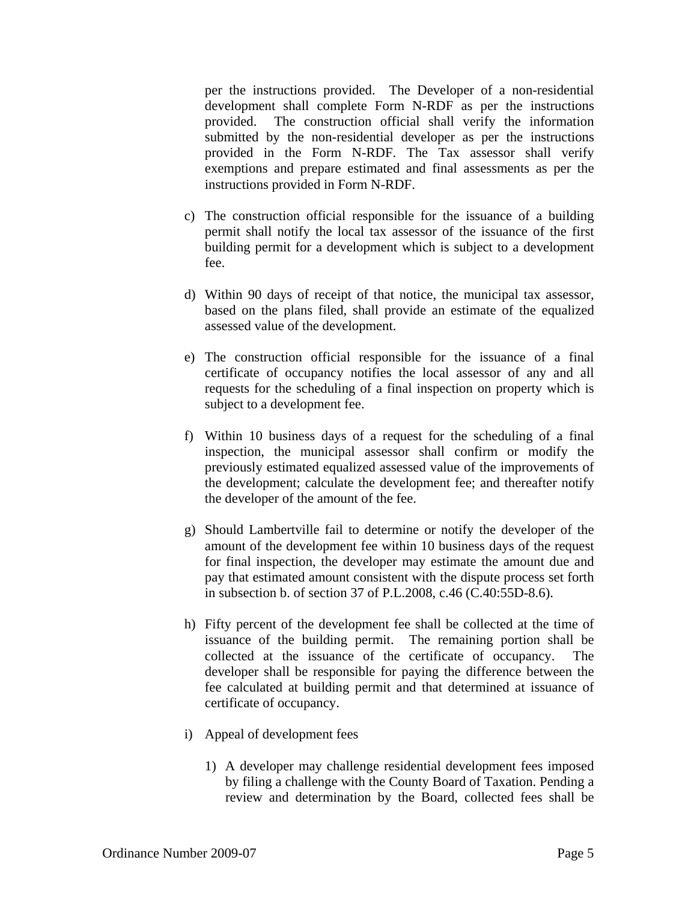per the instructions provided. The Developer of a non-residential development shall complete Form N-RDF as per the instructions provided. The construction official shall verify the information submitted by the non-residential developer as per the instructions provided in the Form N-RDF. The Tax assessor shall verify exemptions and prepare estimated and final assessments as per the instructions provided in Form N-RDF.

- c) The construction official responsible for the issuance of a building permit shall notify the local tax assessor of the issuance of the first building permit for a development which is subject to a development fee.
- d) Within 90 days of receipt of that notice, the municipal tax assessor, based on the plans filed, shall provide an estimate of the equalized assessed value of the development.
- e) The construction official responsible for the issuance of a final certificate of occupancy notifies the local assessor of any and all requests for the scheduling of a final inspection on property which is subject to a development fee.
- f) Within 10 business days of a request for the scheduling of a final inspection, the municipal assessor shall confirm or modify the previously estimated equalized assessed value of the improvements of the development; calculate the development fee; and thereafter notify the developer of the amount of the fee.
- g) Should Lambertville fail to determine or notify the developer of the amount of the development fee within 10 business days of the request for final inspection, the developer may estimate the amount due and pay that estimated amount consistent with the dispute process set forth in subsection b. of section 37 of P.L.2008, c.46 (C.40:55D-8.6).
- h) Fifty percent of the development fee shall be collected at the time of issuance of the building permit. The remaining portion shall be collected at the issuance of the certificate of occupancy. The developer shall be responsible for paying the difference between the fee calculated at building permit and that determined at issuance of certificate of occupancy.
- i) Appeal of development fees
	- 1) A developer may challenge residential development fees imposed by filing a challenge with the County Board of Taxation. Pending a review and determination by the Board, collected fees shall be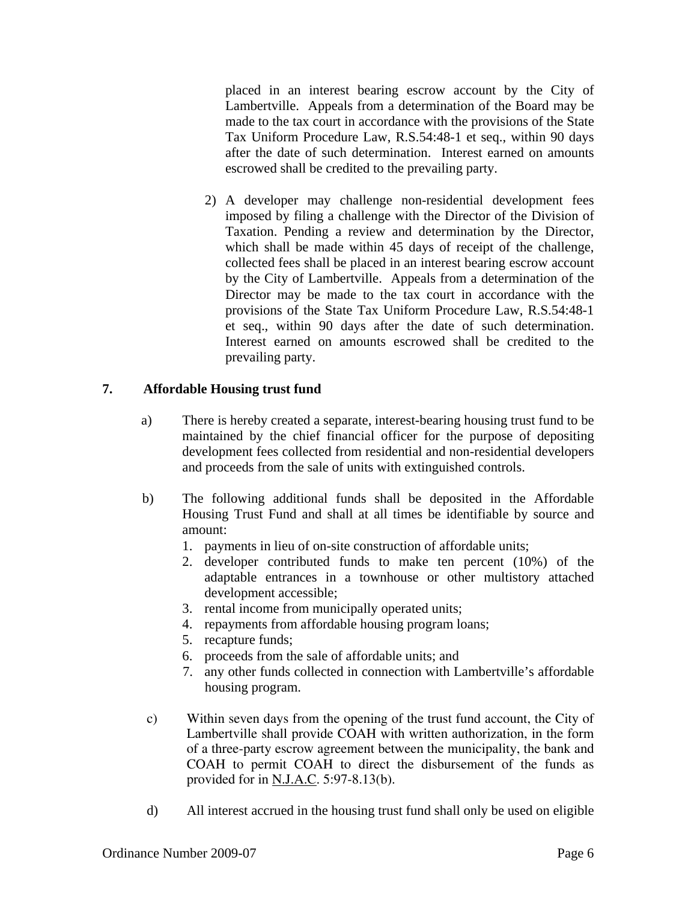placed in an interest bearing escrow account by the City of Lambertville. Appeals from a determination of the Board may be made to the tax court in accordance with the provisions of the State Tax Uniform Procedure Law, R.S.54:48-1 et seq., within 90 days after the date of such determination. Interest earned on amounts escrowed shall be credited to the prevailing party.

2) A developer may challenge non-residential development fees imposed by filing a challenge with the Director of the Division of Taxation. Pending a review and determination by the Director, which shall be made within 45 days of receipt of the challenge, collected fees shall be placed in an interest bearing escrow account by the City of Lambertville. Appeals from a determination of the Director may be made to the tax court in accordance with the provisions of the State Tax Uniform Procedure Law, R.S.54:48-1 et seq., within 90 days after the date of such determination. Interest earned on amounts escrowed shall be credited to the prevailing party.

# **7. Affordable Housing trust fund**

- a) There is hereby created a separate, interest-bearing housing trust fund to be maintained by the chief financial officer for the purpose of depositing development fees collected from residential and non-residential developers and proceeds from the sale of units with extinguished controls.
- b) The following additional funds shall be deposited in the Affordable Housing Trust Fund and shall at all times be identifiable by source and amount:
	- 1. payments in lieu of on-site construction of affordable units;
	- 2. developer contributed funds to make ten percent (10%) of the adaptable entrances in a townhouse or other multistory attached development accessible;
	- 3. rental income from municipally operated units;
	- 4. repayments from affordable housing program loans;
	- 5. recapture funds;
	- 6. proceeds from the sale of affordable units; and
	- 7. any other funds collected in connection with Lambertville's affordable housing program.
- c) Within seven days from the opening of the trust fund account, the City of Lambertville shall provide COAH with written authorization, in the form of a three-party escrow agreement between the municipality, the bank and COAH to permit COAH to direct the disbursement of the funds as provided for in  $N.J.A.C. 5:97-8.13(b)$ .
- d) All interest accrued in the housing trust fund shall only be used on eligible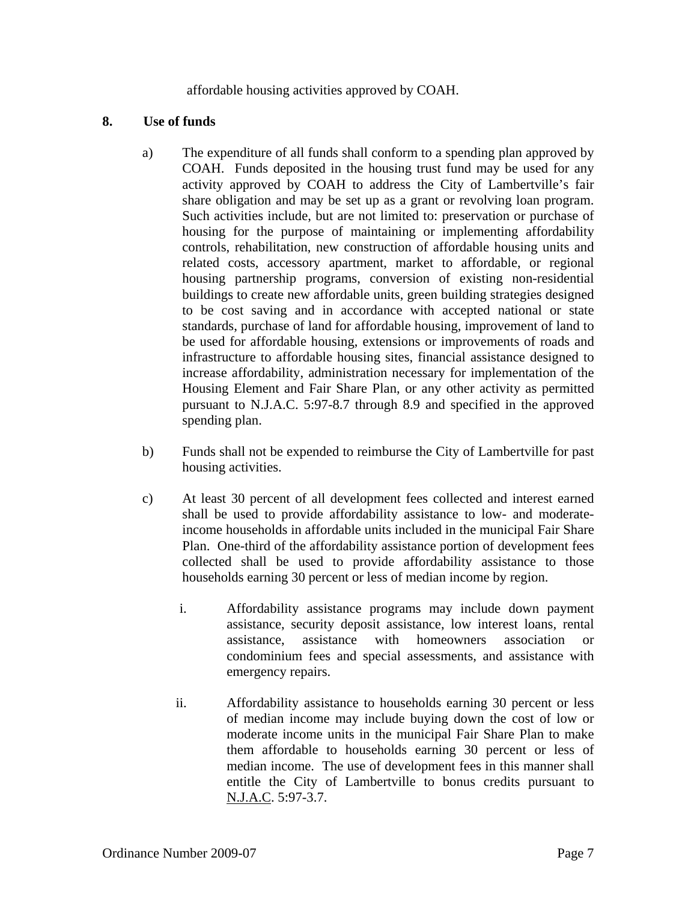affordable housing activities approved by COAH.

#### **8. Use of funds**

- a) The expenditure of all funds shall conform to a spending plan approved by COAH. Funds deposited in the housing trust fund may be used for any activity approved by COAH to address the City of Lambertville's fair share obligation and may be set up as a grant or revolving loan program. Such activities include, but are not limited to: preservation or purchase of housing for the purpose of maintaining or implementing affordability controls, rehabilitation, new construction of affordable housing units and related costs, accessory apartment, market to affordable, or regional housing partnership programs, conversion of existing non-residential buildings to create new affordable units, green building strategies designed to be cost saving and in accordance with accepted national or state standards, purchase of land for affordable housing, improvement of land to be used for affordable housing, extensions or improvements of roads and infrastructure to affordable housing sites, financial assistance designed to increase affordability, administration necessary for implementation of the Housing Element and Fair Share Plan, or any other activity as permitted pursuant to N.J.A.C. 5:97-8.7 through 8.9 and specified in the approved spending plan.
- b) Funds shall not be expended to reimburse the City of Lambertville for past housing activities.
- c) At least 30 percent of all development fees collected and interest earned shall be used to provide affordability assistance to low- and moderateincome households in affordable units included in the municipal Fair Share Plan. One-third of the affordability assistance portion of development fees collected shall be used to provide affordability assistance to those households earning 30 percent or less of median income by region.
	- i. Affordability assistance programs may include down payment assistance, security deposit assistance, low interest loans, rental assistance, assistance with homeowners association condominium fees and special assessments, and assistance with emergency repairs.
	- ii. Affordability assistance to households earning 30 percent or less of median income may include buying down the cost of low or moderate income units in the municipal Fair Share Plan to make them affordable to households earning 30 percent or less of median income. The use of development fees in this manner shall entitle the City of Lambertville to bonus credits pursuant to N.J.A.C. 5:97-3.7.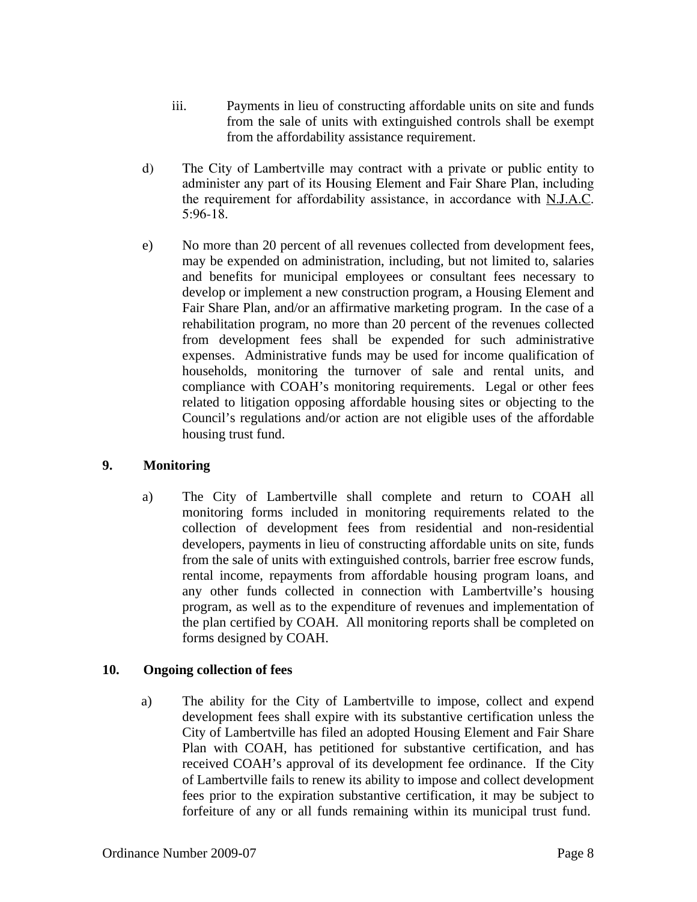- iii. Payments in lieu of constructing affordable units on site and funds from the sale of units with extinguished controls shall be exempt from the affordability assistance requirement.
- d) The City of Lambertville may contract with a private or public entity to administer any part of its Housing Element and Fair Share Plan, including the requirement for affordability assistance, in accordance with N.J.A.C. 5:96-18.
- e) No more than 20 percent of all revenues collected from development fees, may be expended on administration, including, but not limited to, salaries and benefits for municipal employees or consultant fees necessary to develop or implement a new construction program, a Housing Element and Fair Share Plan, and/or an affirmative marketing program. In the case of a rehabilitation program, no more than 20 percent of the revenues collected from development fees shall be expended for such administrative expenses. Administrative funds may be used for income qualification of households, monitoring the turnover of sale and rental units, and compliance with COAH's monitoring requirements. Legal or other fees related to litigation opposing affordable housing sites or objecting to the Council's regulations and/or action are not eligible uses of the affordable housing trust fund.

## **9. Monitoring**

a) The City of Lambertville shall complete and return to COAH all monitoring forms included in monitoring requirements related to the collection of development fees from residential and non-residential developers, payments in lieu of constructing affordable units on site, funds from the sale of units with extinguished controls, barrier free escrow funds, rental income, repayments from affordable housing program loans, and any other funds collected in connection with Lambertville's housing program, as well as to the expenditure of revenues and implementation of the plan certified by COAH. All monitoring reports shall be completed on forms designed by COAH.

## **10. Ongoing collection of fees**

a) The ability for the City of Lambertville to impose, collect and expend development fees shall expire with its substantive certification unless the City of Lambertville has filed an adopted Housing Element and Fair Share Plan with COAH, has petitioned for substantive certification, and has received COAH's approval of its development fee ordinance. If the City of Lambertville fails to renew its ability to impose and collect development fees prior to the expiration substantive certification, it may be subject to forfeiture of any or all funds remaining within its municipal trust fund.